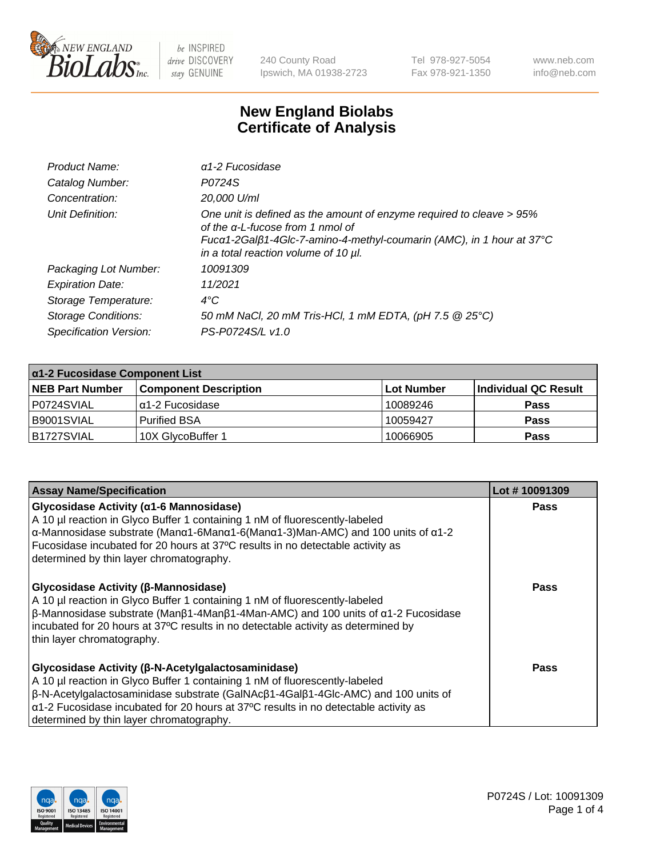

240 County Road Ipswich, MA 01938-2723 Tel 978-927-5054 Fax 978-921-1350 www.neb.com info@neb.com

## **New England Biolabs Certificate of Analysis**

| Product Name:              | $\alpha$ 1-2 Fucosidase                                                                                                                                                                                                  |
|----------------------------|--------------------------------------------------------------------------------------------------------------------------------------------------------------------------------------------------------------------------|
| Catalog Number:            | P0724S                                                                                                                                                                                                                   |
| Concentration:             | 20,000 U/ml                                                                                                                                                                                                              |
| Unit Definition:           | One unit is defined as the amount of enzyme required to cleave > 95%<br>of the a-L-fucose from 1 nmol of<br>Fucα1-2Galβ1-4Glc-7-amino-4-methyl-coumarin (AMC), in 1 hour at 37°C<br>in a total reaction volume of 10 µl. |
| Packaging Lot Number:      | 10091309                                                                                                                                                                                                                 |
| <b>Expiration Date:</b>    | 11/2021                                                                                                                                                                                                                  |
| Storage Temperature:       | $4^{\circ}$ C                                                                                                                                                                                                            |
| <b>Storage Conditions:</b> | 50 mM NaCl, 20 mM Tris-HCl, 1 mM EDTA, (pH 7.5 @ 25°C)                                                                                                                                                                   |
| Specification Version:     | PS-P0724S/L v1.0                                                                                                                                                                                                         |

| $\alpha$ 1-2 Fucosidase Component List |                              |            |                      |  |
|----------------------------------------|------------------------------|------------|----------------------|--|
| <b>NEB Part Number</b>                 | <b>Component Description</b> | Lot Number | Individual QC Result |  |
| P0724SVIAL                             | $\alpha$ 1-2 Fucosidase      | 10089246   | <b>Pass</b>          |  |
| B9001SVIAL                             | <b>Purified BSA</b>          | 10059427   | <b>Pass</b>          |  |
| B1727SVIAL                             | 10X GlycoBuffer 1            | 10066905   | <b>Pass</b>          |  |

| <b>Assay Name/Specification</b>                                                                                                                                                                                                                                                                                                                                                          | Lot #10091309 |
|------------------------------------------------------------------------------------------------------------------------------------------------------------------------------------------------------------------------------------------------------------------------------------------------------------------------------------------------------------------------------------------|---------------|
| Glycosidase Activity (a1-6 Mannosidase)<br>A 10 µl reaction in Glyco Buffer 1 containing 1 nM of fluorescently-labeled<br>$\alpha$ -Mannosidase substrate (Man $\alpha$ 1-6Man $\alpha$ 1-6(Man $\alpha$ 1-3)Man-AMC) and 100 units of $\alpha$ 1-2<br>Fucosidase incubated for 20 hours at 37°C results in no detectable activity as<br>determined by thin layer chromatography.        | <b>Pass</b>   |
| <b>Glycosidase Activity (β-Mannosidase)</b><br>A 10 µl reaction in Glyco Buffer 1 containing 1 nM of fluorescently-labeled<br>$\beta$ -Mannosidase substrate (Man $\beta$ 1-4Man $\beta$ 1-4Man-AMC) and 100 units of $\alpha$ 1-2 Fucosidase<br>incubated for 20 hours at 37°C results in no detectable activity as determined by<br>thin layer chromatography.                         | Pass          |
| Glycosidase Activity (β-N-Acetylgalactosaminidase)<br>A 10 µl reaction in Glyco Buffer 1 containing 1 nM of fluorescently-labeled<br>$\beta$ -N-Acetylgalactosaminidase substrate (GalNAc $\beta$ 1-4Gal $\beta$ 1-4Glc-AMC) and 100 units of<br>$\alpha$ 1-2 Fucosidase incubated for 20 hours at 37°C results in no detectable activity as<br>determined by thin layer chromatography. | <b>Pass</b>   |

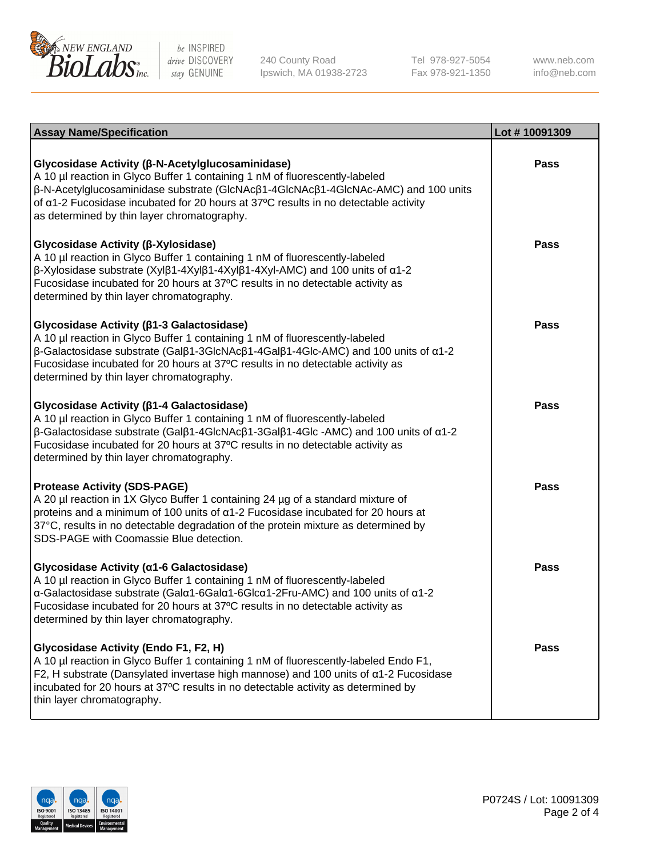

240 County Road Ipswich, MA 01938-2723 Tel 978-927-5054 Fax 978-921-1350

www.neb.com info@neb.com

| <b>Assay Name/Specification</b>                                                                                                                                                                                                                                                                                                                                                             | Lot #10091309 |
|---------------------------------------------------------------------------------------------------------------------------------------------------------------------------------------------------------------------------------------------------------------------------------------------------------------------------------------------------------------------------------------------|---------------|
| Glycosidase Activity (β-N-Acetylglucosaminidase)<br>A 10 µl reaction in Glyco Buffer 1 containing 1 nM of fluorescently-labeled<br>β-N-Acetylglucosaminidase substrate (GlcNAcβ1-4GlcNAcβ1-4GlcNAc-AMC) and 100 units<br>of $\alpha$ 1-2 Fucosidase incubated for 20 hours at 37°C results in no detectable activity<br>as determined by thin layer chromatography.                         | <b>Pass</b>   |
| Glycosidase Activity (β-Xylosidase)<br>A 10 µl reaction in Glyco Buffer 1 containing 1 nM of fluorescently-labeled<br>$\beta$ -Xylosidase substrate (Xylβ1-4Xylβ1-4Xylβ1-4Xyl-AMC) and 100 units of $\alpha$ 1-2<br>Fucosidase incubated for 20 hours at 37°C results in no detectable activity as<br>determined by thin layer chromatography.                                              | <b>Pass</b>   |
| Glycosidase Activity (β1-3 Galactosidase)<br>A 10 µl reaction in Glyco Buffer 1 containing 1 nM of fluorescently-labeled<br>$\beta$ -Galactosidase substrate (Gal $\beta$ 1-3GlcNAc $\beta$ 1-4Gal $\beta$ 1-4Glc-AMC) and 100 units of $\alpha$ 1-2<br>Fucosidase incubated for 20 hours at 37°C results in no detectable activity as<br>determined by thin layer chromatography.          | Pass          |
| Glycosidase Activity ( $\beta$ 1-4 Galactosidase)<br>A 10 µl reaction in Glyco Buffer 1 containing 1 nM of fluorescently-labeled<br>$\beta$ -Galactosidase substrate (Gal $\beta$ 1-4GlcNAc $\beta$ 1-3Gal $\beta$ 1-4Glc -AMC) and 100 units of $\alpha$ 1-2<br>Fucosidase incubated for 20 hours at 37°C results in no detectable activity as<br>determined by thin layer chromatography. | <b>Pass</b>   |
| <b>Protease Activity (SDS-PAGE)</b><br>A 20 µl reaction in 1X Glyco Buffer 1 containing 24 µg of a standard mixture of<br>proteins and a minimum of 100 units of $\alpha$ 1-2 Fucosidase incubated for 20 hours at<br>37°C, results in no detectable degradation of the protein mixture as determined by<br>SDS-PAGE with Coomassie Blue detection.                                         | <b>Pass</b>   |
| Glycosidase Activity (a1-6 Galactosidase)<br>A 10 µl reaction in Glyco Buffer 1 containing 1 nM of fluorescently-labeled<br>α-Galactosidase substrate (Galα1-6Galα1-6Glcα1-2Fru-AMC) and 100 units of α1-2<br>Fucosidase incubated for 20 hours at 37°C results in no detectable activity as<br>determined by thin layer chromatography.                                                    | <b>Pass</b>   |
| Glycosidase Activity (Endo F1, F2, H)<br>A 10 µl reaction in Glyco Buffer 1 containing 1 nM of fluorescently-labeled Endo F1,<br>F2, H substrate (Dansylated invertase high mannose) and 100 units of a1-2 Fucosidase<br>incubated for 20 hours at 37°C results in no detectable activity as determined by<br>thin layer chromatography.                                                    | <b>Pass</b>   |

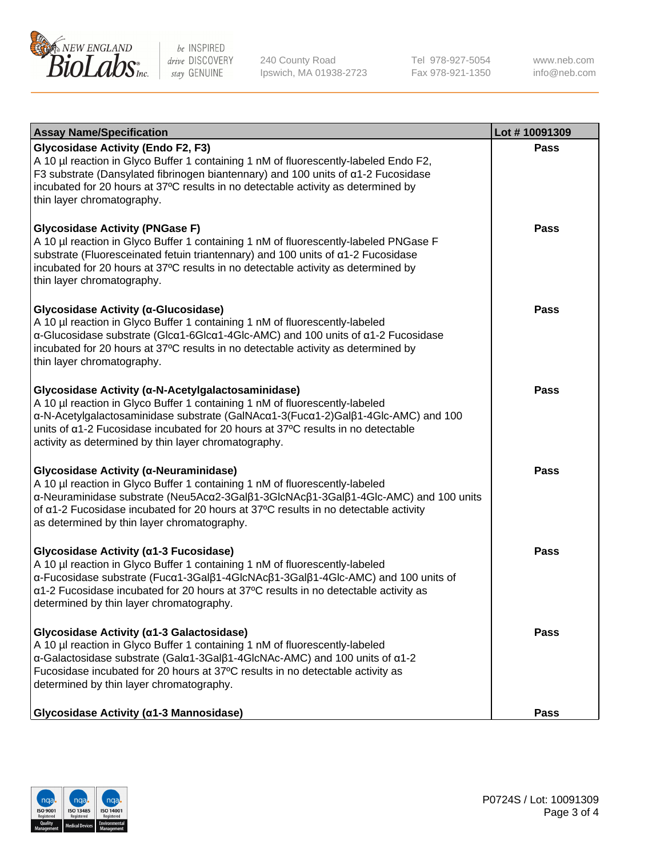

240 County Road Ipswich, MA 01938-2723 Tel 978-927-5054 Fax 978-921-1350 www.neb.com info@neb.com

| <b>Assay Name/Specification</b>                                                                                                                                                                                                                                                                                                                                    | Lot #10091309 |
|--------------------------------------------------------------------------------------------------------------------------------------------------------------------------------------------------------------------------------------------------------------------------------------------------------------------------------------------------------------------|---------------|
| <b>Glycosidase Activity (Endo F2, F3)</b><br>A 10 µl reaction in Glyco Buffer 1 containing 1 nM of fluorescently-labeled Endo F2,<br>F3 substrate (Dansylated fibrinogen biantennary) and 100 units of a1-2 Fucosidase<br>incubated for 20 hours at 37°C results in no detectable activity as determined by<br>thin layer chromatography.                          | <b>Pass</b>   |
| <b>Glycosidase Activity (PNGase F)</b><br>A 10 µl reaction in Glyco Buffer 1 containing 1 nM of fluorescently-labeled PNGase F<br>substrate (Fluoresceinated fetuin triantennary) and 100 units of a1-2 Fucosidase<br>incubated for 20 hours at 37°C results in no detectable activity as determined by<br>thin layer chromatography.                              | Pass          |
| Glycosidase Activity (α-Glucosidase)<br>A 10 µl reaction in Glyco Buffer 1 containing 1 nM of fluorescently-labeled<br>α-Glucosidase substrate (Glcα1-6Glcα1-4Glc-AMC) and 100 units of α1-2 Fucosidase<br>incubated for 20 hours at 37°C results in no detectable activity as determined by<br>thin layer chromatography.                                         | Pass          |
| Glycosidase Activity (α-N-Acetylgalactosaminidase)<br>A 10 µl reaction in Glyco Buffer 1 containing 1 nM of fluorescently-labeled<br>α-N-Acetylgalactosaminidase substrate (GalNAcα1-3(Fucα1-2)Galβ1-4Glc-AMC) and 100<br>units of a1-2 Fucosidase incubated for 20 hours at 37°C results in no detectable<br>activity as determined by thin layer chromatography. | <b>Pass</b>   |
| Glycosidase Activity (α-Neuraminidase)<br>A 10 µl reaction in Glyco Buffer 1 containing 1 nM of fluorescently-labeled<br>α-Neuraminidase substrate (Neu5Acα2-3Galβ1-3GlcNAcβ1-3Galβ1-4Glc-AMC) and 100 units<br>of a1-2 Fucosidase incubated for 20 hours at 37°C results in no detectable activity<br>as determined by thin layer chromatography.                 | <b>Pass</b>   |
| Glycosidase Activity (a1-3 Fucosidase)<br>A 10 µl reaction in Glyco Buffer 1 containing 1 nM of fluorescently-labeled<br>α-Fucosidase substrate (Fucα1-3Galβ1-4GlcNAcβ1-3Galβ1-4Glc-AMC) and 100 units of<br>a1-2 Fucosidase incubated for 20 hours at 37°C results in no detectable activity as<br>determined by thin layer chromatography.                       | <b>Pass</b>   |
| Glycosidase Activity (α1-3 Galactosidase)<br>A 10 µl reaction in Glyco Buffer 1 containing 1 nM of fluorescently-labeled<br>α-Galactosidase substrate (Galα1-3Galβ1-4GlcNAc-AMC) and 100 units of α1-2<br>Fucosidase incubated for 20 hours at 37°C results in no detectable activity as<br>determined by thin layer chromatography.                               | Pass          |
| Glycosidase Activity (α1-3 Mannosidase)                                                                                                                                                                                                                                                                                                                            | Pass          |